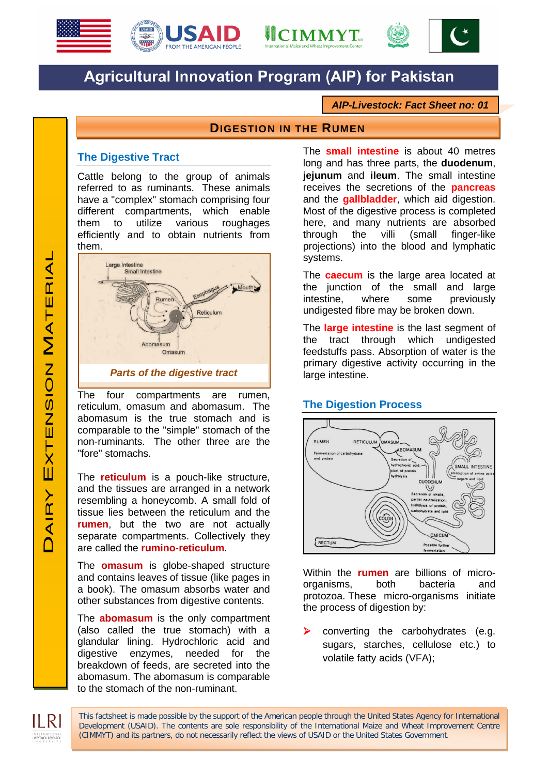





# **Agricultural Innovation Program (AIP) for Pakistan**

*AIP-Livestock: Fact Sheet no: 01*

## **DIGESTION IN THE RUMEN**

#### **The Digestive Tract**

Cattle belong to the group of animals referred to as ruminants. These animals have a "complex" stomach comprising four different compartments, which enable them to utilize various roughages efficiently and to obtain nutrients from them.



The four compartments are rumen, reticulum, omasum and abomasum. The abomasum is the true stomach and is comparable to the "simple" stomach of the non-ruminants. The other three are the "fore" stomachs.

The **reticulum** is a pouch-like structure, and the tissues are arranged in a network resembling a honeycomb. A small fold of tissue lies between the reticulum and the **rumen**, but the two are not actually separate compartments. Collectively they are called the **rumino-reticulum**.

The **omasum** is globe-shaped structure and contains leaves of tissue (like pages in a book). The omasum absorbs water and other substances from digestive contents.

The **abomasum** is the only compartment (also called the true stomach) with a glandular lining. Hydrochloric acid and digestive enzymes, needed for the breakdown of feeds, are secreted into the abomasum. The abomasum is comparable to the stomach of the non-ruminant.

The **small intestine** is about 40 metres long and has three parts, the **duodenum**, **jejunum** and **ileum**. The small intestine receives the secretions of the **pancreas** and the **gallbladder**, which aid digestion. Most of the digestive process is completed here, and many nutrients are absorbed through the villi (small finger-like projections) into the blood and lymphatic systems.

The **caecum** is the large area located at the junction of the small and large<br>intestine. where some previously intestine, where some previously undigested fibre may be broken down.

The **large intestine** is the last segment of the tract through which undigested feedstuffs pass. Absorption of water is the primary digestive activity occurring in the large intestine.

## **The Digestion Process**



Within the **rumen** are billions of micro-<br>organisms. both bacteria and organisms, both bacteria and protozoa. These micro-organisms initiate the process of digestion by:

 converting the carbohydrates (e.g. sugars, starches, cellulose etc.) to volatile fatty acids (VFA);

This factsheet is made possible by the support of the American people through the United States Agency for International Development (USAID). The contents are sole responsibility of the International Maize and Wheat Improvement Centre (CIMMYT) and its partners, do not necessarily reflect the views of USAID or the United States Government.

LIVESTOCK RESEARC